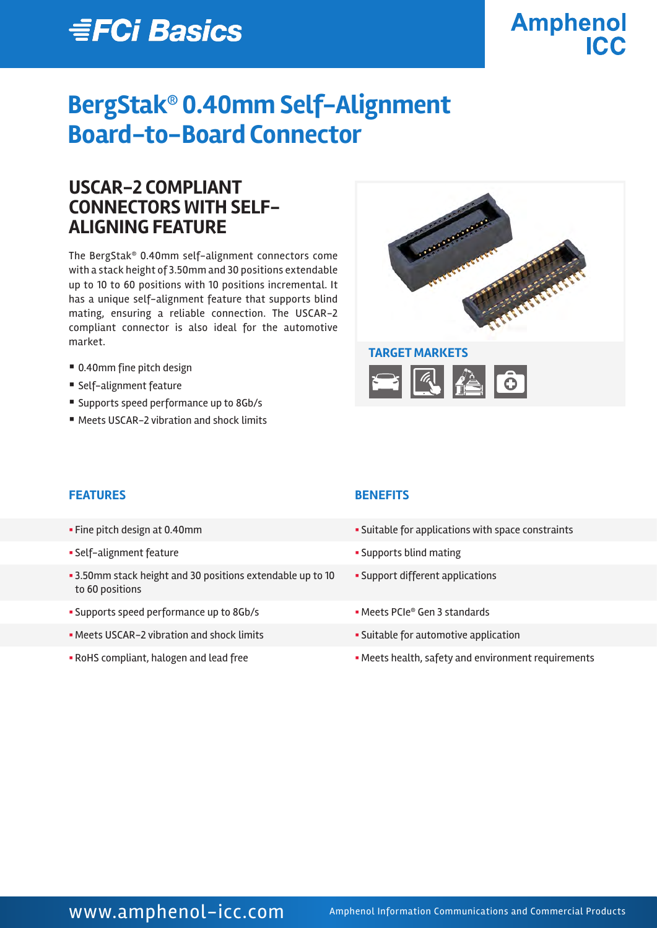# *≣FCi Basics*

## **Amphenol ICC**

## **BergStak® 0.40mm Self-Alignment Board-to-Board Connector**

## **USCAR-2 COMPLIANT CONNECTORS WITH SELF-ALIGNING FEATURE**

The BergStak® 0.40mm self-alignment connectors come with a stack height of 3.50mm and 30 positions extendable up to 10 to 60 positions with 10 positions incremental. It has a unique self-alignment feature that supports blind mating, ensuring a reliable connection. The USCAR-2 compliant connector is also ideal for the automotive market.

- 0.40mm fine pitch design
- Self-alignment feature
- Supports speed performance up to 8Gb/s
- Meets USCAR-2 vibration and shock limits



### **FEATURES BENEFITS**

- 
- 
- § 3.50mm stack height and 30 positions extendable up to 10 to 60 positions
- Supports speed performance up to 8Gb/s  **The CODE Meets PCIe**® Gen 3 standards
- Meets USCAR-2 vibration and shock limits  **Suitable for automotive application**
- 

- Fine pitch design at 0.40mm **Suitable for applications with space constraints**
- § Self-alignment feature § Supports blind mating
	- § Support different applications
	-
	-
- RoHS compliant, halogen and lead free **South America Free States health**, safety and environment requirements